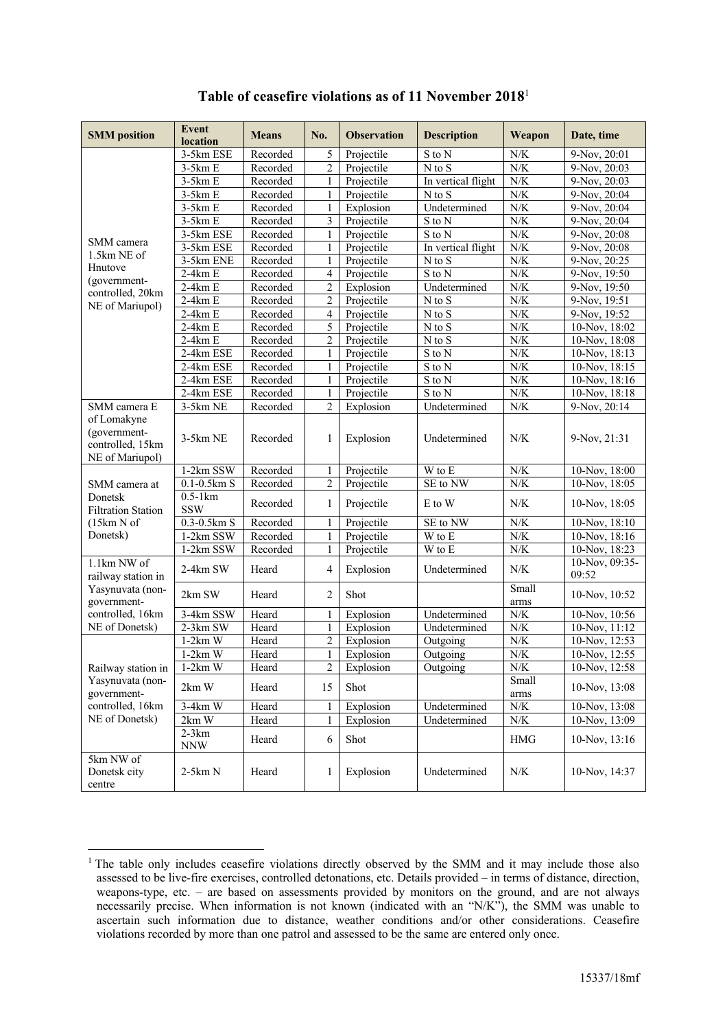| <b>SMM</b> position                                                | <b>Event</b><br>location | <b>Means</b> | No.            | <b>Observation</b> | <b>Description</b>  | Weapon                  | Date, time              |
|--------------------------------------------------------------------|--------------------------|--------------|----------------|--------------------|---------------------|-------------------------|-------------------------|
|                                                                    | 3-5km ESE                | Recorded     | 5              | Projectile         | S to N              | N/K                     | 9-Nov, 20:01            |
|                                                                    | $3-5km E$                | Recorded     | 2              | Projectile         | $N$ to $S$          | ${\rm N/K}$             | 9-Nov, 20:03            |
|                                                                    | $3-5km E$                | Recorded     | 1              | Projectile         | In vertical flight  | N/K                     | 9-Nov, 20:03            |
|                                                                    | $3-5km E$                | Recorded     | 1              | Projectile         | $N$ to $S$          | ${\rm N/K}$             | 9-Nov, 20:04            |
|                                                                    | $3-5km E$                | Recorded     | 1              | Explosion          | Undetermined        | ${\rm N/K}$             | 9-Nov, 20:04            |
|                                                                    | $3-5km E$                | Recorded     | 3              | Projectile         | S to N              | ${\rm N/K}$             | 9-Nov, 20:04            |
|                                                                    | 3-5km ESE                | Recorded     | 1              | Projectile         | S to N              | ${\rm N/K}$             | 9-Nov, 20:08            |
| SMM camera                                                         | 3-5km ESE                | Recorded     | 1              | Projectile         | In vertical flight  | N/K                     | 9-Nov, 20:08            |
| 1.5km NE of                                                        | 3-5km ENE                | Recorded     | 1              | Projectile         | N to S              | ${\rm N/K}$             | 9-Nov, 20:25            |
| Hnutove                                                            | $2-4km E$                | Recorded     | 4              | Projectile         | S to N              | N/K                     | 9-Nov, 19:50            |
| (government-<br>controlled, 20km                                   | $2-4km E$                | Recorded     | 2              | Explosion          | Undetermined        | $N/K$                   | 9-Nov, 19:50            |
| NE of Mariupol)                                                    | $2-4km E$                | Recorded     | $\overline{c}$ | Projectile         | N to S              | N/K                     | 9-Nov, 19:51            |
|                                                                    | $2-4km E$                | Recorded     | $\overline{4}$ | Projectile         | $N$ to $S$          | N/K                     | 9-Nov, 19:52            |
|                                                                    | $2-4km E$                | Recorded     | 5              | Projectile         | $N$ to $S$          | ${\rm N/K}$             | 10-Nov, 18:02           |
|                                                                    | $2-4km E$                | Recorded     | 2              | Projectile         | $N$ to $S$          | N/K                     | 10-Nov, 18:08           |
|                                                                    | 2-4km ESE                | Recorded     | $\mathbf{1}$   | Projectile         | S to N              | $N/K$                   | 10-Nov, 18:13           |
|                                                                    | 2-4km ESE                | Recorded     | 1              | Projectile         | S to N              | N/K                     | 10-Nov, 18:15           |
|                                                                    | 2-4km ESE                | Recorded     | 1              | Projectile         | $\overline{S}$ to N | N/K                     | 10-Nov, 18:16           |
|                                                                    | 2-4km ESE                | Recorded     | 1              | Projectile         | S to N              | N/K                     | 10-Nov, 18:18           |
| SMM camera E                                                       | 3-5km NE                 | Recorded     | $\overline{2}$ | Explosion          | Undetermined        | ${\rm N/K}$             | 9-Nov, 20:14            |
| of Lomakyne<br>(government-<br>controlled, 15km<br>NE of Mariupol) | 3-5km NE                 | Recorded     | 1              | Explosion          | Undetermined        | N/K                     | 9-Nov, 21:31            |
|                                                                    | 1-2km SSW                | Recorded     |                | Projectile         | W to E              | N/K                     | 10-Nov, 18:00           |
| SMM camera at                                                      | $0.1 - 0.5$ km S         | Recorded     | $\overline{c}$ | Projectile         | SE to NW            | ${\rm N/K}$             | 10-Nov, 18:05           |
| Donetsk<br><b>Filtration Station</b>                               | $0.5-1km$<br><b>SSW</b>  | Recorded     | 1              | Projectile         | E to W              | N/K                     | 10-Nov, 18:05           |
| (15km N of                                                         | $0.3 - 0.5$ km S         | Recorded     | 1              | Projectile         | SE to NW            | ${\rm N/K}$             | 10-Nov, 18:10           |
| Donetsk)                                                           | 1-2km SSW                | Recorded     |                | Projectile         | W to E              | N/K                     | 10-Nov, 18:16           |
|                                                                    | 1-2km SSW                | Recorded     | 1              | Projectile         | W to E              | ${\rm N/K}$             | 10-Nov, 18:23           |
| 1.1km NW of<br>railway station in                                  | 2-4km SW                 | Heard        | 4              | Explosion          | Undetermined        | N/K                     | 10-Nov, 09:35-<br>09:52 |
| Yasynuvata (non-<br>government-                                    | 2km SW                   | Heard        | 2              | Shot               |                     | Small<br>arms           | 10-Nov, 10:52           |
| controlled, 16km                                                   | 3-4km SSW                | Heard        | 1              | Explosion          | Undetermined        | N/K                     | 10-Nov, 10:56           |
| NE of Donetsk)                                                     | $2-3km$ SW               | Heard        | 1              | Explosion          | Undetermined        | ${\rm N/K}$             | 10-Nov, 11:12           |
|                                                                    | $1-2km$ W                | Heard        | 2              | Explosion          | Outgoing            | ${\rm N/K}$             | 10-Nov, 12:53           |
|                                                                    | $1-2km$ W                | Heard        | $\mathbf{1}$   | Explosion          | Outgoing            | ${\rm N/K}$             | 10-Nov, 12:55           |
| Railway station in                                                 | $1-2km$ W                | Heard        | $\overline{c}$ | Explosion          | Outgoing            | $\overline{\text{N/K}}$ | 10-Nov, 12:58           |
| Yasynuvata (non-<br>government-                                    | 2km W                    | Heard        | 15             | Shot               |                     | Small<br>arms           | 10-Nov, 13:08           |
| controlled, 16km                                                   | 3-4km W                  | Heard        |                | Explosion          | Undetermined        | N/K                     | 10-Nov, 13:08           |
| NE of Donetsk)                                                     | $2km$ W                  | Heard        |                | Explosion          | Undetermined        | $N\!/\!K$               | 10-Nov, 13:09           |
|                                                                    | $2-3km$<br><b>NNW</b>    | Heard        | 6              | Shot               |                     | $\rm HMG$               | 10-Nov, 13:16           |
| 5km NW of<br>Donetsk city<br>centre                                | $2-5km N$                | Heard        | 1              | Explosion          | Undetermined        | $N\!/\!K$               | 10-Nov, 14:37           |

## **Table of ceasefire violations as of 11 November 2018**<sup>1</sup>

<sup>&</sup>lt;sup>1</sup> The table only includes ceasefire violations directly observed by the SMM and it may include those also assessed to be live-fire exercises, controlled detonations, etc. Details provided – in terms of distance, direction, weapons-type, etc. – are based on assessments provided by monitors on the ground, and are not always necessarily precise. When information is not known (indicated with an "N/K"), the SMM was unable to ascertain such information due to distance, weather conditions and/or other considerations. Ceasefire violations recorded by more than one patrol and assessed to be the same are entered only once.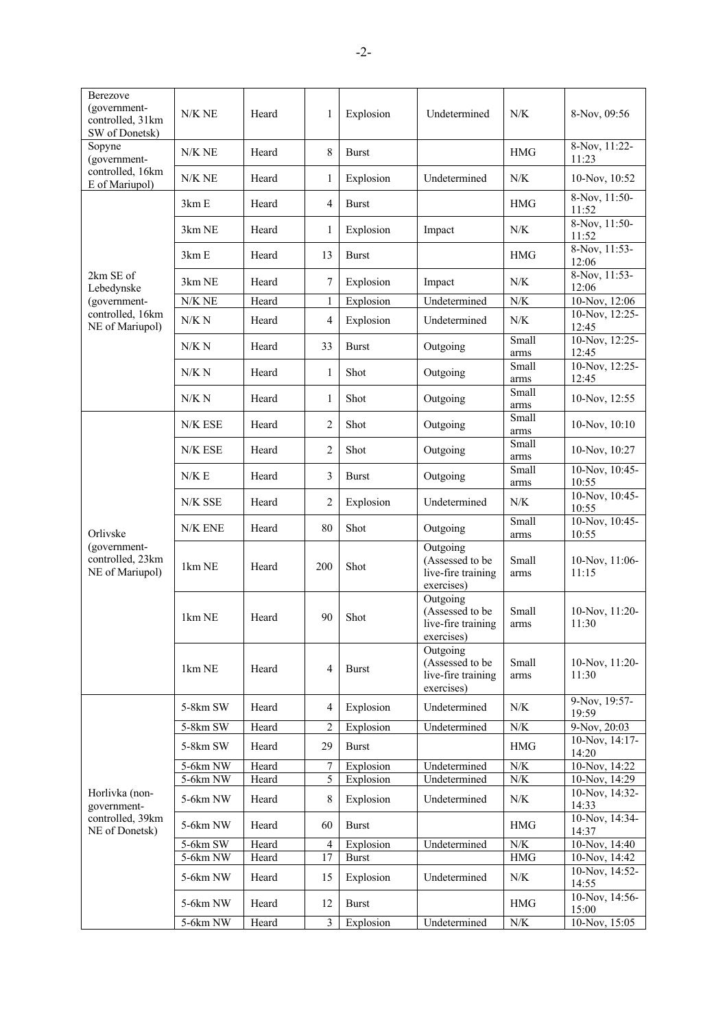| Berezove<br>(government-<br>controlled, 31km<br>SW of Donetsk) | N/K NE   | Heard                                                                                                                                                                                                                                                                                                                                                                                                                                                                                                                                                                                                                                                                                                                                                                                                                                                                                                                                                                                                                                                                                                                                                                                                                                                                                                                                                     | 1              | Explosion    | Undetermined            | N/K           | 8-Nov, 09:56             |
|----------------------------------------------------------------|----------|-----------------------------------------------------------------------------------------------------------------------------------------------------------------------------------------------------------------------------------------------------------------------------------------------------------------------------------------------------------------------------------------------------------------------------------------------------------------------------------------------------------------------------------------------------------------------------------------------------------------------------------------------------------------------------------------------------------------------------------------------------------------------------------------------------------------------------------------------------------------------------------------------------------------------------------------------------------------------------------------------------------------------------------------------------------------------------------------------------------------------------------------------------------------------------------------------------------------------------------------------------------------------------------------------------------------------------------------------------------|----------------|--------------|-------------------------|---------------|--------------------------|
| Sopyne<br>(government-                                         | N/K NE   | Heard                                                                                                                                                                                                                                                                                                                                                                                                                                                                                                                                                                                                                                                                                                                                                                                                                                                                                                                                                                                                                                                                                                                                                                                                                                                                                                                                                     | 8              | <b>Burst</b> |                         | <b>HMG</b>    | 8-Nov, 11:22-<br>11:23   |
| controlled, 16km<br>E of Mariupol)                             | N/K NE   | Heard                                                                                                                                                                                                                                                                                                                                                                                                                                                                                                                                                                                                                                                                                                                                                                                                                                                                                                                                                                                                                                                                                                                                                                                                                                                                                                                                                     | 1              | Explosion    | Undetermined            | N/K           | 10-Nov, 10:52            |
|                                                                | 3km E    | Heard                                                                                                                                                                                                                                                                                                                                                                                                                                                                                                                                                                                                                                                                                                                                                                                                                                                                                                                                                                                                                                                                                                                                                                                                                                                                                                                                                     | $\overline{4}$ | <b>Burst</b> |                         | <b>HMG</b>    | $8-Nov, 11:50-$<br>11:52 |
|                                                                | 3km NE   | Heard                                                                                                                                                                                                                                                                                                                                                                                                                                                                                                                                                                                                                                                                                                                                                                                                                                                                                                                                                                                                                                                                                                                                                                                                                                                                                                                                                     | 1              | Explosion    | Impact                  | N/K           | 8-Nov, 11:50-<br>11:52   |
|                                                                | 3km E    | Heard                                                                                                                                                                                                                                                                                                                                                                                                                                                                                                                                                                                                                                                                                                                                                                                                                                                                                                                                                                                                                                                                                                                                                                                                                                                                                                                                                     | 13             | <b>Burst</b> |                         | <b>HMG</b>    | $8-Nov, 11:53-$<br>12:06 |
| 2km SE of<br>Lebedynske                                        | 3km NE   | Heard                                                                                                                                                                                                                                                                                                                                                                                                                                                                                                                                                                                                                                                                                                                                                                                                                                                                                                                                                                                                                                                                                                                                                                                                                                                                                                                                                     | 7              | Explosion    | Impact                  | N/K           | 8-Nov, 11:53-<br>12:06   |
| (government-                                                   | N/K NE   | Heard                                                                                                                                                                                                                                                                                                                                                                                                                                                                                                                                                                                                                                                                                                                                                                                                                                                                                                                                                                                                                                                                                                                                                                                                                                                                                                                                                     | 1              |              | Undetermined            | $N/K$         | 10-Nov, 12:06            |
| controlled, 16km<br>NE of Mariupol)                            | N/K N    | Heard                                                                                                                                                                                                                                                                                                                                                                                                                                                                                                                                                                                                                                                                                                                                                                                                                                                                                                                                                                                                                                                                                                                                                                                                                                                                                                                                                     | $\overline{4}$ | Explosion    | Undetermined            | $N/K$         | 10-Nov, 12:25-<br>12:45  |
|                                                                | N/K N    | Heard                                                                                                                                                                                                                                                                                                                                                                                                                                                                                                                                                                                                                                                                                                                                                                                                                                                                                                                                                                                                                                                                                                                                                                                                                                                                                                                                                     | 33             | <b>Burst</b> | Outgoing                | Small<br>arms | 10-Nov, 12:25-<br>12:45  |
|                                                                | N/K N    | Heard                                                                                                                                                                                                                                                                                                                                                                                                                                                                                                                                                                                                                                                                                                                                                                                                                                                                                                                                                                                                                                                                                                                                                                                                                                                                                                                                                     | 1              | Shot         | Outgoing                | Small<br>arms | 10-Nov, 12:25-<br>12:45  |
|                                                                | N/K N    | Explosion<br>Small<br>Shot<br>Heard<br>1<br>Outgoing<br>arms<br>Small<br>2<br>Shot<br>Heard<br>Outgoing<br>arms<br>Small<br>2<br>Heard<br>Shot<br>Outgoing<br>arms<br>Small<br>3<br>Heard<br>Outgoing<br>Burst<br>arms<br>$\overline{2}$<br>N/K<br>Heard<br>Explosion<br>Undetermined<br>Small<br>80<br>Shot<br>Heard<br>Outgoing<br>arms<br>Outgoing<br>(Assessed to be<br>Small<br>Shot<br>Heard<br>200<br>live-fire training<br>arms<br>exercises)<br>Outgoing<br>(Assessed to be<br>Small<br>Heard<br>90<br>Shot<br>live-fire training<br>arms<br>exercises)<br>Outgoing<br>(Assessed to be<br>Small<br>Heard<br>$\overline{4}$<br><b>Burst</b><br>live-fire training<br>arms<br>exercises)<br>Heard<br>Undetermined<br>N/K<br>4<br>Explosion<br>Heard<br>$\overline{2}$<br>$N\!/\!K$<br>Explosion<br>Undetermined<br>Heard<br>29<br><b>Burst</b><br>$\rm HMG$<br>${\rm N/K}$<br>Heard<br>7<br>Explosion<br>Undetermined<br>Heard<br>Undetermined<br>$N\!/\!K$<br>5<br>Explosion<br>Heard<br>8<br>Undetermined<br>N/K<br>Explosion<br>Heard<br>$\rm HMG$<br>60<br><b>Burst</b><br>$N\!/\!K$<br>Heard<br>Undetermined<br>Explosion<br>4<br>Heard<br>$\operatorname{HMG}$<br>17<br><b>Burst</b><br>N/K<br>Heard<br>15<br>Explosion<br>Undetermined<br>Heard<br>12<br><b>Burst</b><br><b>HMG</b><br>Heard<br>3<br>Undetermined<br>$N\!/\!K$<br>Explosion | 10-Nov, 12:55  |              |                         |               |                          |
|                                                                | N/K ESE  |                                                                                                                                                                                                                                                                                                                                                                                                                                                                                                                                                                                                                                                                                                                                                                                                                                                                                                                                                                                                                                                                                                                                                                                                                                                                                                                                                           |                |              |                         |               | $10-Nov, 10:10$          |
|                                                                | N/K ESE  |                                                                                                                                                                                                                                                                                                                                                                                                                                                                                                                                                                                                                                                                                                                                                                                                                                                                                                                                                                                                                                                                                                                                                                                                                                                                                                                                                           |                |              |                         |               | 10-Nov, 10:27            |
|                                                                | N/K E    |                                                                                                                                                                                                                                                                                                                                                                                                                                                                                                                                                                                                                                                                                                                                                                                                                                                                                                                                                                                                                                                                                                                                                                                                                                                                                                                                                           |                |              |                         |               | 10-Nov, 10:45-<br>10:55  |
|                                                                | N/K SSE  |                                                                                                                                                                                                                                                                                                                                                                                                                                                                                                                                                                                                                                                                                                                                                                                                                                                                                                                                                                                                                                                                                                                                                                                                                                                                                                                                                           |                |              |                         |               | 10-Nov, 10:45-<br>10:55  |
| Orlivske                                                       | N/K ENE  |                                                                                                                                                                                                                                                                                                                                                                                                                                                                                                                                                                                                                                                                                                                                                                                                                                                                                                                                                                                                                                                                                                                                                                                                                                                                                                                                                           |                |              |                         |               | 10-Nov, 10:45-<br>10:55  |
| (government-<br>controlled, 23km<br>NE of Mariupol)            | 1km NE   |                                                                                                                                                                                                                                                                                                                                                                                                                                                                                                                                                                                                                                                                                                                                                                                                                                                                                                                                                                                                                                                                                                                                                                                                                                                                                                                                                           |                |              |                         |               | 10-Nov, 11:06-<br>11:15  |
|                                                                | 1km NE   |                                                                                                                                                                                                                                                                                                                                                                                                                                                                                                                                                                                                                                                                                                                                                                                                                                                                                                                                                                                                                                                                                                                                                                                                                                                                                                                                                           |                |              |                         |               | 10-Nov, 11:20-<br>11:30  |
|                                                                | 1km NE   |                                                                                                                                                                                                                                                                                                                                                                                                                                                                                                                                                                                                                                                                                                                                                                                                                                                                                                                                                                                                                                                                                                                                                                                                                                                                                                                                                           |                |              | 10-Nov, 11:20-<br>11:30 |               |                          |
|                                                                | 5-8km SW |                                                                                                                                                                                                                                                                                                                                                                                                                                                                                                                                                                                                                                                                                                                                                                                                                                                                                                                                                                                                                                                                                                                                                                                                                                                                                                                                                           |                |              |                         |               | 9-Nov, 19:57-<br>19:59   |
|                                                                | 5-8km SW |                                                                                                                                                                                                                                                                                                                                                                                                                                                                                                                                                                                                                                                                                                                                                                                                                                                                                                                                                                                                                                                                                                                                                                                                                                                                                                                                                           |                |              |                         |               | 9-Nov, 20:03             |
|                                                                | 5-8km SW |                                                                                                                                                                                                                                                                                                                                                                                                                                                                                                                                                                                                                                                                                                                                                                                                                                                                                                                                                                                                                                                                                                                                                                                                                                                                                                                                                           |                |              |                         |               | 10-Nov, 14:17-<br>14:20  |
|                                                                | 5-6km NW |                                                                                                                                                                                                                                                                                                                                                                                                                                                                                                                                                                                                                                                                                                                                                                                                                                                                                                                                                                                                                                                                                                                                                                                                                                                                                                                                                           |                |              |                         |               | 10-Nov, 14:22            |
|                                                                | 5-6km NW |                                                                                                                                                                                                                                                                                                                                                                                                                                                                                                                                                                                                                                                                                                                                                                                                                                                                                                                                                                                                                                                                                                                                                                                                                                                                                                                                                           |                |              |                         |               | 10-Nov, 14:29            |
| Horlivka (non-<br>government-                                  | 5-6km NW |                                                                                                                                                                                                                                                                                                                                                                                                                                                                                                                                                                                                                                                                                                                                                                                                                                                                                                                                                                                                                                                                                                                                                                                                                                                                                                                                                           |                |              |                         |               | 10-Nov, 14:32-<br>14:33  |
| controlled, 39km<br>NE of Donetsk)                             | 5-6km NW |                                                                                                                                                                                                                                                                                                                                                                                                                                                                                                                                                                                                                                                                                                                                                                                                                                                                                                                                                                                                                                                                                                                                                                                                                                                                                                                                                           |                |              |                         |               | 10-Nov, 14:34-<br>14:37  |
|                                                                | 5-6km SW |                                                                                                                                                                                                                                                                                                                                                                                                                                                                                                                                                                                                                                                                                                                                                                                                                                                                                                                                                                                                                                                                                                                                                                                                                                                                                                                                                           |                |              |                         |               | 10-Nov, 14:40            |
|                                                                | 5-6km NW |                                                                                                                                                                                                                                                                                                                                                                                                                                                                                                                                                                                                                                                                                                                                                                                                                                                                                                                                                                                                                                                                                                                                                                                                                                                                                                                                                           |                |              |                         |               | 10-Nov, 14:42            |
|                                                                | 5-6km NW |                                                                                                                                                                                                                                                                                                                                                                                                                                                                                                                                                                                                                                                                                                                                                                                                                                                                                                                                                                                                                                                                                                                                                                                                                                                                                                                                                           |                |              |                         |               | 10-Nov, 14:52-<br>14:55  |
|                                                                | 5-6km NW |                                                                                                                                                                                                                                                                                                                                                                                                                                                                                                                                                                                                                                                                                                                                                                                                                                                                                                                                                                                                                                                                                                                                                                                                                                                                                                                                                           |                |              |                         |               | 10-Nov, 14:56-<br>15:00  |
|                                                                | 5-6km NW |                                                                                                                                                                                                                                                                                                                                                                                                                                                                                                                                                                                                                                                                                                                                                                                                                                                                                                                                                                                                                                                                                                                                                                                                                                                                                                                                                           |                |              |                         |               | 10-Nov, 15:05            |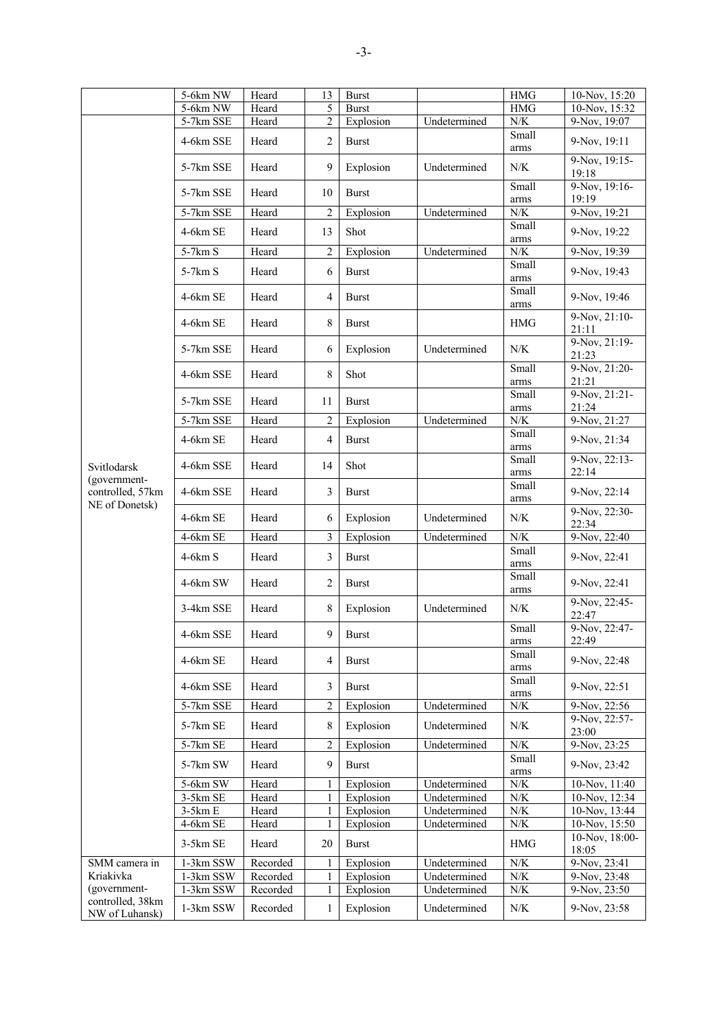|                                    | 5-6km NW              | Heard          | 13             | <b>Burst</b>           |                              | <b>HMG</b>             | 10-Nov, 15:20                  |
|------------------------------------|-----------------------|----------------|----------------|------------------------|------------------------------|------------------------|--------------------------------|
|                                    | 5-6km NW              | Heard          | 5              | <b>Burst</b>           |                              | <b>HMG</b>             | 10-Nov, 15:32                  |
|                                    | 5-7km SSE             | Heard          | 2              | Explosion              | Undetermined                 | N/K                    | 9-Nov, 19:07                   |
|                                    | 4-6km SSE             | Heard          | $\overline{2}$ | <b>Burst</b>           |                              | Small<br>arms          | 9-Nov, 19:11                   |
|                                    | 5-7km SSE             | Heard          | 9              | Explosion              | Undetermined                 | N/K                    | 9-Nov, 19:15-<br>19:18         |
|                                    | 5-7km SSE             | Heard          | 10             | <b>Burst</b>           |                              | Small<br>arms          | 9-Nov, 19:16-<br>19:19         |
|                                    | 5-7km SSE             | Heard          | $\overline{2}$ | Explosion              | Undetermined                 | N/K                    | $9-Nov, 19:21$                 |
|                                    | 4-6km SE              | Heard          | 13             | Shot                   |                              | Small<br>arms          | 9-Nov, 19:22                   |
|                                    | 5-7km S               | Heard          | $\overline{2}$ | Explosion              | Undetermined                 | $N\!/\!K$              | 9-Nov, 19:39                   |
|                                    | 5-7km S               | Heard          | 6              | <b>Burst</b>           |                              | Small<br>arms          | 9-Nov, 19:43                   |
|                                    | 4-6km SE              | Heard          | 4              | <b>Burst</b>           |                              | Small<br>arms          | 9-Nov, 19:46                   |
|                                    | 4-6km SE              | Heard          | 8              | <b>Burst</b>           |                              | <b>HMG</b>             | 9-Nov, 21:10-<br>21:11         |
|                                    | 5-7km SSE             | Heard          | 6              | Explosion              | Undetermined                 | N/K                    | 9-Nov, 21:19-<br>21:23         |
|                                    | 4-6km SSE             | Heard          | 8              | Shot                   |                              | Small<br>arms          | 9-Nov, 21:20-<br>21:21         |
|                                    | 5-7km SSE             | Heard          | 11             | <b>Burst</b>           |                              | Small<br>arms          | 9-Nov, 21:21-<br>21:24         |
|                                    | 5-7km SSE             | Heard          | $\overline{2}$ | Explosion              | Undetermined                 | ${\rm N/K}$            | 9-Nov, 21:27                   |
|                                    | 4-6km SE              | Heard          | $\overline{4}$ | <b>Burst</b>           |                              | Small<br>arms          | 9-Nov, 21:34                   |
| Svitlodarsk                        | 4-6km SSE             | Heard          | 14             | Shot                   |                              | Small<br>arms          | 9-Nov, 22:13-<br>22:14         |
| (government-<br>controlled, 57km   | 4-6km SSE             | Heard          | 3              | <b>Burst</b>           |                              | Small<br>arms          | 9-Nov, 22:14                   |
| NE of Donetsk)                     | 4-6km SE              | Heard          | 6              | Explosion              | Undetermined                 | N/K                    | 9-Nov, 22:30-<br>22:34         |
|                                    | 4-6km SE              | Heard          | 3              | Explosion              | Undetermined                 | ${\rm N/K}$            | 9-Nov, 22:40                   |
|                                    | $4-6km S$             | Heard          | 3              | <b>Burst</b>           |                              | Small<br>arms          | 9-Nov, 22:41                   |
|                                    | 4-6km SW              | Heard          | $\sqrt{2}$     | <b>Burst</b>           |                              | Small<br>arms          | 9-Nov, 22:41                   |
|                                    | 3-4km SSE             | Heard          | 8              | Explosion              | Undetermined                 | N/K                    | 9-Nov, 22:45-<br>22:47         |
|                                    | 4-6km SSE             | Heard          | 9              | <b>Burst</b>           |                              | Small<br>arms          | 9-Nov, 22:47-<br>22:49         |
|                                    | 4-6km SE              | Heard          | $\overline{4}$ | <b>Burst</b>           |                              | Small<br>arms          | 9-Nov, 22:48                   |
|                                    | 4-6km SSE             | Heard          | $\mathfrak{Z}$ | <b>Burst</b>           |                              | Small<br>arms          | 9-Nov, 22:51                   |
|                                    | 5-7km SSE             | Heard          | $\overline{2}$ | Explosion              | Undetermined                 | $N\!/\!K$              | 9-Nov, 22:56                   |
|                                    | 5-7km SE              | Heard          | 8              | Explosion              | Undetermined                 | N/K                    | 9-Nov, 22:57-<br>23:00         |
|                                    | 5-7km SE              | Heard          | $\overline{2}$ | Explosion              | Undetermined                 | $N\!/\!K$              | 9-Nov, 23:25                   |
|                                    | 5-7km SW              | Heard          | 9              | <b>Burst</b>           |                              | Small<br>arms          | 9-Nov, 23:42                   |
|                                    | 5-6km SW              | Heard          | 1              | Explosion              | Undetermined                 | $N\!/\!K$              | 10-Nov, 11:40                  |
|                                    | $3-5km$ SE            | Heard          | 1<br>1         | Explosion              | Undetermined                 | $N\!/\!K$<br>$N\!/\!K$ | 10-Nov, 12:34<br>10-Nov, 13:44 |
|                                    | $3-5km E$<br>4-6km SE | Heard<br>Heard | 1              | Explosion<br>Explosion | Undetermined<br>Undetermined | $N\!/\!K$              | $10$ -Nov, 15:50               |
|                                    | 3-5km SE              | Heard          | 20             | <b>Burst</b>           |                              | $\rm HMG$              | 10-Nov, 18:00-<br>18:05        |
| SMM camera in                      | 1-3km SSW             | Recorded       |                | Explosion              | Undetermined                 | N/K                    | 9-Nov, 23:41                   |
| Kriakivka                          | 1-3km SSW             | Recorded       | 1              | Explosion              | Undetermined                 | $N\!/\!K$              | 9-Nov, 23:48                   |
| (government-                       | $1-3km$ SSW           | Recorded       | $\mathbf{1}$   | Explosion              | Undetermined                 | $N\!/\!K$              | 9-Nov, 23:50                   |
| controlled, 38km<br>NW of Luhansk) | 1-3km SSW             | Recorded       | $\mathbf{1}$   | Explosion              | Undetermined                 | $N\!/\!K$              | 9-Nov, 23:58                   |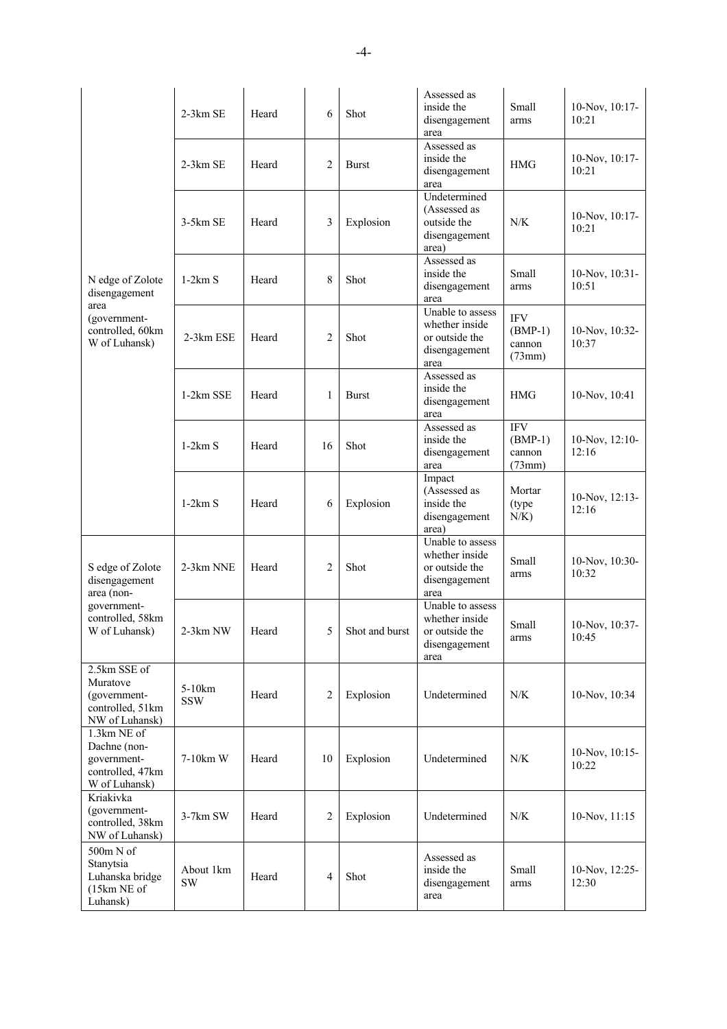|                                                                                 | 2-3km SE               | Heard | 6              | Shot           | Assessed as<br>inside the<br>disengagement<br>area                            | Small<br>arms                               | 10-Nov, 10:17-<br>10:21       |
|---------------------------------------------------------------------------------|------------------------|-------|----------------|----------------|-------------------------------------------------------------------------------|---------------------------------------------|-------------------------------|
|                                                                                 | 2-3km SE               | Heard | 2              | <b>Burst</b>   | Assessed as<br>inside the<br>disengagement<br>area                            | <b>HMG</b>                                  | 10-Nov, 10:17-<br>10:21       |
|                                                                                 | 3-5km SE               | Heard | 3              | Explosion      | Undetermined<br>(Assessed as<br>outside the<br>disengagement<br>area)         | N/K                                         | $10$ -Nov, $10:17$ -<br>10:21 |
| N edge of Zolote<br>disengagement                                               | $1-2km S$              | Heard | 8              | Shot           | Assessed as<br>inside the<br>disengagement<br>area                            | Small<br>arms                               | 10-Nov, 10:31-<br>10:51       |
| area<br>(government-<br>controlled, 60km<br>W of Luhansk)                       | 2-3km ESE              | Heard | 2              | Shot           | Unable to assess<br>whether inside<br>or outside the<br>disengagement<br>area | <b>IFV</b><br>$(BMP-1)$<br>cannon<br>(73mm) | 10-Nov, 10:32-<br>10:37       |
|                                                                                 | 1-2km SSE              | Heard | 1              | <b>Burst</b>   | Assessed as<br>inside the<br>disengagement<br>area                            | <b>HMG</b>                                  | 10-Nov, 10:41                 |
|                                                                                 | $1-2km S$              | Heard | 16             | Shot           | Assessed as<br>inside the<br>disengagement<br>area                            | <b>IFV</b><br>$(BMP-1)$<br>cannon<br>(73mm) | 10-Nov, 12:10-<br>12:16       |
|                                                                                 | $1-2km S$              | Heard | 6              | Explosion      | Impact<br>(Assessed as<br>inside the<br>disengagement<br>area)                | Mortar<br>(type)<br>$N/K$ )                 | 10-Nov, 12:13-<br>12:16       |
| S edge of Zolote<br>disengagement<br>area (non-                                 | 2-3km NNE              | Heard | $\overline{2}$ | Shot           | Unable to assess<br>whether inside<br>or outside the<br>disengagement<br>area | Small<br>arms                               | $10-Nov, 10:30-$<br>10:32     |
| government-<br>controlled, 58km<br>W of Luhansk)                                | 2-3km NW               | Heard | 5              | Shot and burst | Unable to assess<br>whether inside<br>or outside the<br>disengagement<br>area | Small<br>arms                               | 10-Nov, 10:37-<br>10:45       |
| 2.5km SSE of<br>Muratove<br>(government-<br>controlled, 51km<br>NW of Luhansk)  | $5-10km$<br><b>SSW</b> | Heard | 2              | Explosion      | Undetermined                                                                  | N/K                                         | 10-Nov, 10:34                 |
| 1.3km NE of<br>Dachne (non-<br>government-<br>controlled, 47km<br>W of Luhansk) | 7-10km W               | Heard | 10             | Explosion      | Undetermined                                                                  | N/K                                         | 10-Nov, 10:15-<br>10:22       |
| Kriakivka<br>(government-<br>controlled, 38km<br>NW of Luhansk)                 | $3-7km$ SW             | Heard | 2              | Explosion      | Undetermined                                                                  | N/K                                         | $10-Nov, 11:15$               |
| 500m N of<br>Stanytsia<br>Luhanska bridge<br>(15km NE of<br>Luhansk)            | About 1km<br><b>SW</b> | Heard | 4              | Shot           | Assessed as<br>inside the<br>disengagement<br>area                            | Small<br>arms                               | 10-Nov, 12:25-<br>12:30       |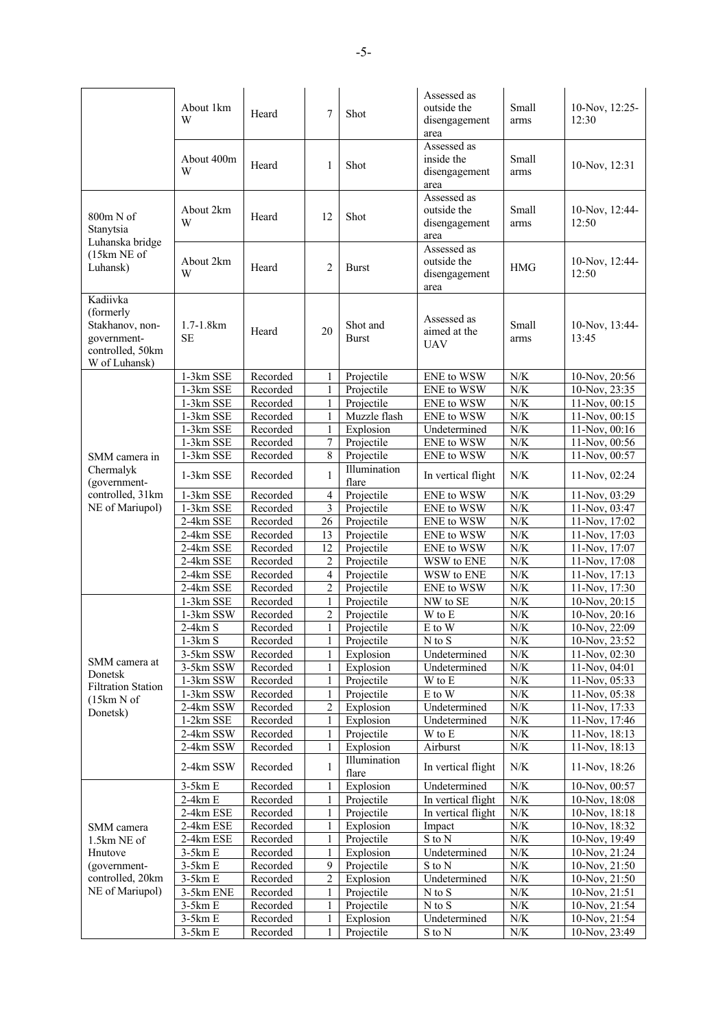|                                                                                               | About 1km<br>W              | Heard    | 7              | Shot                     | Assessed as<br>outside the<br>disengagement<br>area | Small<br>arms | 10-Nov, 12:25-<br>12:30 |
|-----------------------------------------------------------------------------------------------|-----------------------------|----------|----------------|--------------------------|-----------------------------------------------------|---------------|-------------------------|
|                                                                                               | About 400m<br>W             | Heard    | 1              | Shot                     | Assessed as<br>inside the<br>disengagement<br>area  | Small<br>arms | 10-Nov, 12:31           |
| $800m N$ of<br>Stanytsia<br>Luhanska bridge                                                   | About 2km<br>W              | Heard    | 12             | Shot                     | Assessed as<br>outside the<br>disengagement<br>area | Small<br>arms | 10-Nov, 12:44-<br>12:50 |
| (15km NE of<br>Luhansk)                                                                       | About 2km<br>W              | Heard    | 2              | <b>Burst</b>             | Assessed as<br>outside the<br>disengagement<br>area | <b>HMG</b>    | 10-Nov, 12:44-<br>12:50 |
| Kadiivka<br>(formerly)<br>Stakhanov, non-<br>government-<br>controlled, 50km<br>W of Luhansk) | $1.7 - 1.8$ km<br><b>SE</b> | Heard    | 20             | Shot and<br><b>Burst</b> | Assessed as<br>aimed at the<br>UAV                  | Small<br>arms | 10-Nov, 13:44-<br>13:45 |
|                                                                                               | 1-3km SSE                   | Recorded | 1              | Projectile               | ENE to WSW                                          | N/K           | 10-Nov, 20:56           |
|                                                                                               | 1-3km SSE                   | Recorded | $\mathbf{1}$   | Projectile               | <b>ENE</b> to WSW                                   | ${\rm N/K}$   | 10-Nov, 23:35           |
|                                                                                               | 1-3km SSE                   | Recorded | $\mathbf{1}$   | Projectile               | ENE to WSW                                          | ${\rm N/K}$   | 11-Nov, 00:15           |
|                                                                                               | 1-3km SSE                   | Recorded | $\mathbf{1}$   | Muzzle flash             | <b>ENE</b> to WSW                                   | N/K           | 11-Nov, 00:15           |
|                                                                                               | 1-3km SSE                   | Recorded | $\mathbf{1}$   | Explosion                | Undetermined                                        | ${\rm N/K}$   | 11-Nov, 00:16           |
|                                                                                               | 1-3km SSE                   | Recorded | 7              | Projectile               | <b>ENE</b> to WSW                                   | ${\rm N/K}$   | 11-Nov, 00:56           |
| SMM camera in                                                                                 | 1-3km SSE                   | Recorded | 8              | Projectile               | <b>ENE</b> to WSW                                   | $N/K$         | 11-Nov, 00:57           |
| Chermalyk<br>(government-                                                                     | 1-3km SSE                   | Recorded | 1              | Illumination<br>flare    | In vertical flight                                  | N/K           | 11-Nov, 02:24           |
| controlled, 31km                                                                              | 1-3km SSE                   | Recorded | 4              | Projectile               | ENE to WSW                                          | ${\rm N/K}$   | 11-Nov, 03:29           |
| NE of Mariupol)                                                                               | 1-3km SSE                   | Recorded | 3              | Projectile               | ENE to WSW                                          | N/K           | 11-Nov, 03:47           |
|                                                                                               | 2-4km SSE                   | Recorded | 26             | Projectile               | <b>ENE</b> to WSW                                   | $N/K$         | 11-Nov, 17:02           |
|                                                                                               | 2-4km SSE                   | Recorded | 13             | Projectile               | <b>ENE</b> to WSW                                   | ${\rm N/K}$   | 11-Nov, 17:03           |
|                                                                                               | 2-4km SSE                   | Recorded | 12             | Projectile               | ENE to WSW                                          | N/K           | 11-Nov, 17:07           |
|                                                                                               | 2-4km SSE                   | Recorded | $\overline{c}$ | Projectile               | WSW to ENE                                          | ${\rm N/K}$   | 11-Nov, 17:08           |
|                                                                                               | 2-4km SSE                   | Recorded | 4              | Projectile               | WSW to ENE                                          | N/K           | 11-Nov, 17:13           |
|                                                                                               | 2-4km SSE                   | Recorded | $\overline{c}$ | Projectile               | <b>ENE</b> to WSW                                   | N/K           | 11-Nov, 17:30           |
|                                                                                               | 1-3km SSE                   | Recorded | 1              | Projectile               | NW to SE                                            | ${\rm N/K}$   | 10-Nov, 20:15           |
|                                                                                               | 1-3km SSW                   | Recorded | $\overline{c}$ | Projectile               | W to E                                              | N/K           | 10-Nov, 20:16           |
|                                                                                               | $2-4km S$                   | Recorded | $\mathbf{1}$   | Projectile               | E to W                                              | ${\rm N/K}$   | 10-Nov, 22:09           |
|                                                                                               | $1-3km S$                   | Recorded |                | Projectile               | N to S                                              | N/K           | 10-Nov, 23:52           |
|                                                                                               | 3-5km SSW                   | Recorded |                | Explosion                | Undetermined                                        | N/K           | 11-Nov, 02:30           |
| SMM camera at<br>Donetsk                                                                      | 3-5km SSW                   | Recorded |                | Explosion                | Undetermined                                        | ${\rm N/K}$   | $11-Nov, 04:01$         |
| <b>Filtration Station</b>                                                                     | 1-3km SSW                   | Recorded | 1              | Projectile               | W to E                                              | $N\!/\!K$     | 11-Nov, 05:33           |
| (15km N of                                                                                    | 1-3km SSW                   | Recorded | 1              | Projectile               | E to W                                              | $N\!/\!K$     | 11-Nov, 05:38           |
| Donetsk)                                                                                      | 2-4km SSW                   | Recorded | 2              | Explosion                | Undetermined                                        | $N\!/\!K$     | 11-Nov, 17:33           |
|                                                                                               | 1-2km SSE                   | Recorded | 1              | Explosion                | Undetermined                                        | $N/K$         | 11-Nov, 17:46           |
|                                                                                               | 2-4km SSW                   | Recorded | 1              | Projectile               | W to E                                              | $N\!/\!K$     | 11-Nov, 18:13           |
|                                                                                               | 2-4km SSW                   | Recorded | 1              | Explosion                | Airburst                                            | $N\!/\!K$     | 11-Nov, 18:13           |
|                                                                                               | 2-4km SSW                   | Recorded | 1              | Illumination<br>flare    | In vertical flight                                  | $N\!/\!K$     | 11-Nov, 18:26           |
|                                                                                               | $3-5km E$                   | Recorded |                | Explosion                | Undetermined                                        | N/K           | 10-Nov, 00:57           |
|                                                                                               | $2-4km E$                   | Recorded |                | Projectile               | In vertical flight                                  | $N/K$         | 10-Nov, 18:08           |
|                                                                                               | 2-4km ESE                   | Recorded |                | Projectile               | In vertical flight                                  | $N/K$         | 10-Nov, 18:18           |
| SMM camera                                                                                    | 2-4km ESE                   | Recorded | 1              | Explosion                | Impact                                              | $N\!/\!K$     | 10-Nov, 18:32           |
| 1.5km NE of                                                                                   | 2-4km ESE                   | Recorded | 1              | Projectile               | S to N                                              | N/K           | 10-Nov, 19:49           |
| Hnutove                                                                                       | $3-5km E$                   | Recorded |                | Explosion                | Undetermined                                        | N/K           | 10-Nov, 21:24           |
| (government-                                                                                  | $3-5km E$                   | Recorded | 9              | Projectile               | S to N                                              | ${\rm N/K}$   | 10-Nov, 21:50           |
| controlled, 20km                                                                              | $3-5km E$                   | Recorded | $\overline{c}$ | Explosion                | Undetermined                                        | $N/K$         | 10-Nov, 21:50           |
| NE of Mariupol)                                                                               | 3-5km ENE                   | Recorded | 1              | Projectile               | N to S                                              | $N/K$         | 10-Nov, 21:51           |
|                                                                                               | $3-5km E$                   | Recorded | 1              | Projectile               | N to S                                              | $N/K$         | 10-Nov, 21:54           |
|                                                                                               | $3-5km E$                   | Recorded | 1              | Explosion                | Undetermined                                        | $N\!/\!K$     | 10-Nov, 21:54           |
|                                                                                               | $3-5km E$                   | Recorded | $\mathbf{1}$   | Projectile               | S to N                                              | $N\!/\!K$     | 10-Nov, 23:49           |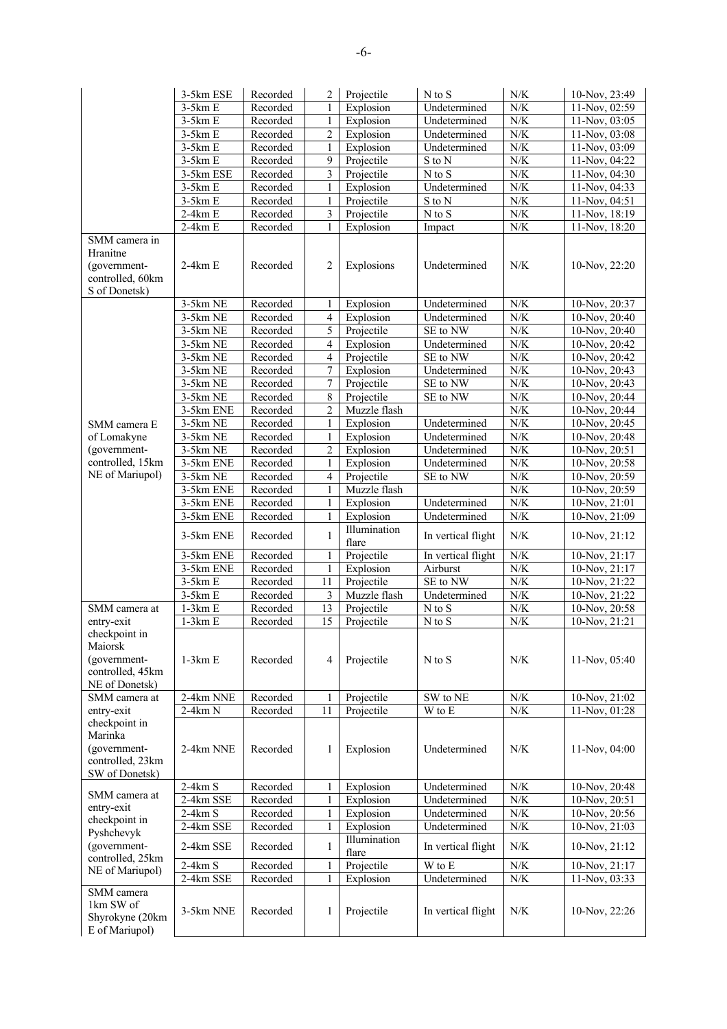|                                                                                | 3-5km ESE  | Recorded | 2              | Projectile            | $N$ to $S$                   | N/K       | 10-Nov, 23:49    |
|--------------------------------------------------------------------------------|------------|----------|----------------|-----------------------|------------------------------|-----------|------------------|
|                                                                                | $3-5km E$  | Recorded |                | Explosion             | Undetermined                 | N/K       | 11-Nov, 02:59    |
|                                                                                | $3-5km E$  | Recorded | 1              | Explosion             | Undetermined                 | $N/K$     | 11-Nov, 03:05    |
|                                                                                | $3-5km E$  | Recorded | $\overline{c}$ | Explosion             | Undetermined                 | $N\!/\!K$ | 11-Nov, 03:08    |
|                                                                                | $3-5km E$  | Recorded | 1              | Explosion             | Undetermined                 | $N\!/\!K$ | 11-Nov, 03:09    |
|                                                                                | $3-5km E$  | Recorded | 9              | Projectile            | S to N                       | $N\!/\!K$ | 11-Nov, 04:22    |
|                                                                                | 3-5km ESE  | Recorded | 3              | Projectile            | $\mathrm{N}$ to $\mathrm{S}$ | $N\!/\!K$ | 11-Nov, 04:30    |
|                                                                                | $3-5km E$  | Recorded |                | Explosion             | Undetermined                 | $N/K$     | 11-Nov, 04:33    |
|                                                                                | $3-5km E$  | Recorded | 1              | Projectile            | S to N                       | $N\!/\!K$ | 11-Nov, 04:51    |
|                                                                                | $2-4km E$  | Recorded | 3              | Projectile            | $N$ to $S$                   | $N\!/\!K$ | 11-Nov, 18:19    |
|                                                                                | $2-4km E$  | Recorded | 1              | Explosion             | Impact                       | $N\!/\!K$ | 11-Nov, 18:20    |
| SMM camera in<br>Hranitne<br>(government-<br>controlled, 60km<br>S of Donetsk) | $2-4km E$  | Recorded | $\overline{2}$ | Explosions            | Undetermined                 | N/K       | 10-Nov, 22:20    |
|                                                                                | 3-5km NE   | Recorded |                | Explosion             | Undetermined                 | N/K       | 10-Nov, 20:37    |
|                                                                                | 3-5km NE   | Recorded | $\overline{4}$ | Explosion             | Undetermined                 | N/K       | 10-Nov, 20:40    |
|                                                                                | 3-5km NE   | Recorded | 5              | Projectile            | SE to NW                     | $N\!/\!K$ | 10-Nov, 20:40    |
|                                                                                | 3-5km NE   | Recorded | 4              | Explosion             | Undetermined                 | $N\!/\!K$ | 10-Nov, 20:42    |
|                                                                                | 3-5km NE   | Recorded | $\overline{4}$ | Projectile            | SE to NW                     | $N\!/\!K$ | 10-Nov, 20:42    |
|                                                                                | 3-5km NE   | Recorded | 7              | Explosion             | Undetermined                 | $N/K$     | 10-Nov, 20:43    |
|                                                                                | 3-5km NE   | Recorded | $\tau$         | Projectile            | SE to NW                     | N/K       | 10-Nov, 20:43    |
|                                                                                | 3-5km NE   | Recorded | $\,8\,$        | Projectile            | SE to NW                     | N/K       | 10-Nov, 20:44    |
|                                                                                | 3-5km ENE  | Recorded | 2              | Muzzle flash          |                              | $N\!/\!K$ | 10-Nov, 20:44    |
| SMM camera E                                                                   | $3-5km$ NE | Recorded | 1              | Explosion             | Undetermined                 | $N/K$     | 10-Nov, 20:45    |
| of Lomakyne                                                                    | 3-5km NE   | Recorded | 1              | Explosion             | Undetermined                 | $N\!/\!K$ | 10-Nov, 20:48    |
| (government-                                                                   | $3-5km$ NE | Recorded | $\overline{c}$ | Explosion             | Undetermined                 | $N\!/\!K$ | 10-Nov, 20:51    |
| controlled, 15km                                                               | 3-5km ENE  | Recorded | 1              | Explosion             | Undetermined                 | $N\!/\!K$ | 10-Nov, 20:58    |
| NE of Mariupol)                                                                | 3-5km NE   | Recorded | 4              | Projectile            | SE to NW                     | N/K       | 10-Nov, 20:59    |
|                                                                                | 3-5km ENE  | Recorded | 1              | Muzzle flash          |                              | $N/K$     | 10-Nov, 20:59    |
|                                                                                | 3-5km ENE  | Recorded | 1              | Explosion             | Undetermined                 | $N/K$     | 10-Nov, 21:01    |
|                                                                                | 3-5km ENE  | Recorded | 1              | Explosion             | Undetermined                 | $N\!/\!K$ | 10-Nov, 21:09    |
|                                                                                | 3-5km ENE  | Recorded | 1              | Illumination<br>flare | In vertical flight           | N/K       | 10-Nov, 21:12    |
|                                                                                | 3-5km ENE  | Recorded | 1              | Projectile            | In vertical flight           | N/K       | 10-Nov, 21:17    |
|                                                                                | 3-5km ENE  | Recorded | 1              | Explosion             | Airburst                     | $N\!/\!K$ | 10-Nov, 21:17    |
|                                                                                | $3-5km E$  | Recorded | 11             | Projectile            | SE to NW                     | $N\!/\!K$ | 10-Nov, 21:22    |
|                                                                                | $3-5km E$  | Recorded | 3              | Muzzle flash          | Undetermined                 | $N\!/\!K$ | 10-Nov, 21:22    |
| SMM camera at                                                                  | $1-3km E$  | Recorded | 13             | Projectile            | N to S                       | $N\!/\!K$ | 10-Nov, 20:58    |
| entry-exit                                                                     | $1-3km E$  | Recorded | 15             | Projectile            | N to S                       | $N/K$     | 10-Nov, 21:21    |
| checkpoint in<br>Maiorsk<br>(government-<br>controlled, 45km<br>NE of Donetsk) | $1-3km E$  | Recorded | 4              | Projectile            | $N$ to $S$                   | N/K       | 11-Nov, 05:40    |
| SMM camera at                                                                  | 2-4km NNE  | Recorded | 1              | Projectile            | SW to NE                     | N/K       | 10-Nov, 21:02    |
| entry-exit                                                                     | $2-4km N$  | Recorded | 11             | Projectile            | W to E                       | $N\!/\!K$ | 11-Nov, 01:28    |
| checkpoint in<br>Marinka<br>(government-<br>controlled, 23km<br>SW of Donetsk) | 2-4km NNE  | Recorded | 1              | Explosion             | Undetermined                 | N/K       | 11-Nov, 04:00    |
|                                                                                | $2-4km S$  | Recorded | 1              | Explosion             | Undetermined                 | $N\!/\!K$ | $10$ -Nov, 20:48 |
| SMM camera at                                                                  | 2-4km SSE  | Recorded | 1              | Explosion             | Undetermined                 | $N\!/\!K$ | 10-Nov, 20:51    |
| entry-exit                                                                     | $2-4km S$  | Recorded | 1              | Explosion             | Undetermined                 | $N\!/\!K$ | 10-Nov, 20:56    |
| checkpoint in<br>Pyshchevyk                                                    | 2-4km SSE  | Recorded |                | Explosion             | Undetermined                 | $N\!/\!K$ | 10-Nov, 21:03    |
| (government-                                                                   | 2-4km SSE  | Recorded | 1              | Illumination<br>flare | In vertical flight           | $N\!/\!K$ | 10-Nov, 21:12    |
| controlled, 25km<br>NE of Mariupol)                                            | $2-4km S$  | Recorded | 1              | Projectile            | W to E                       | $N/K$     | 10-Nov, 21:17    |
|                                                                                | 2-4km SSE  | Recorded | 1              | Explosion             | Undetermined                 | $N\!/\!K$ | 11-Nov, 03:33    |
| SMM camera<br>1km SW of<br>Shyrokyne (20km<br>E of Mariupol)                   | 3-5km NNE  | Recorded | 1              | Projectile            | In vertical flight           | N/K       | 10-Nov, 22:26    |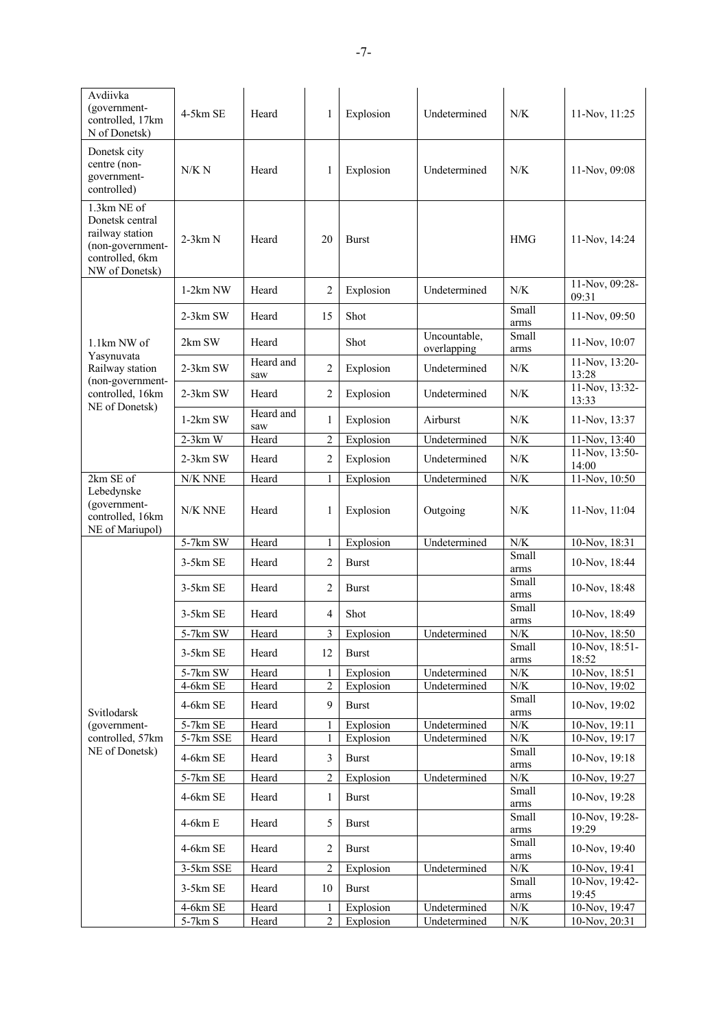| Avdiivka<br>(government-<br>controlled, 17km<br>N of Donetsk)                                              | $4-5km$ SE | Heard            | 1              | Explosion    | Undetermined                | N/K                  | 11-Nov, 11:25           |
|------------------------------------------------------------------------------------------------------------|------------|------------------|----------------|--------------|-----------------------------|----------------------|-------------------------|
| Donetsk city<br>centre (non-<br>government-<br>controlled)                                                 | N/K N      | Heard            | 1              | Explosion    | Undetermined                | N/K                  | 11-Nov, 09:08           |
| 1.3km NE of<br>Donetsk central<br>railway station<br>(non-government-<br>controlled, 6km<br>NW of Donetsk) | $2-3km N$  | Heard            | 20             | <b>Burst</b> |                             | <b>HMG</b>           | 11-Nov, 14:24           |
|                                                                                                            | $1-2km$ NW | Heard            | 2              | Explosion    | Undetermined                | N/K                  | 11-Nov, 09:28-<br>09:31 |
|                                                                                                            | $2-3km$ SW | Heard            | 15             | Shot         |                             | Small<br>arms        | 11-Nov, 09:50           |
| 1.1km NW of                                                                                                | 2km SW     | Heard            |                | Shot         | Uncountable,<br>overlapping | Small<br>arms        | 11-Nov, 10:07           |
| Yasynuvata<br>Railway station                                                                              | $2-3km$ SW | Heard and<br>saw | 2              | Explosion    | Undetermined                | N/K                  | 11-Nov, 13:20-<br>13:28 |
| (non-government-<br>controlled, 16km                                                                       | 2-3km SW   | Heard            | 2              | Explosion    | Undetermined                | N/K                  | 11-Nov, 13:32-<br>13:33 |
| NE of Donetsk)                                                                                             | $1-2km$ SW | Heard and<br>saw | 1              | Explosion    | Airburst                    | N/K                  | 11-Nov, 13:37           |
|                                                                                                            | $2-3km$ W  | Heard            | 2              | Explosion    | Undetermined                | ${\rm N/K}$          | 11-Nov, 13:40           |
|                                                                                                            | $2-3km$ SW | Heard            | 2              | Explosion    | Undetermined                | N/K                  | 11-Nov, 13:50-<br>14:00 |
| 2km SE of<br>Lebedynske                                                                                    | N/K NNE    | Heard            | 1              | Explosion    | Undetermined                | N/K                  | 11-Nov, 10:50           |
| (government-<br>controlled, 16km<br>NE of Mariupol)                                                        | N/K NNE    | Heard            | 1              | Explosion    | Outgoing                    | N/K                  | 11-Nov, 11:04           |
|                                                                                                            | 5-7km SW   | Heard            |                | Explosion    | Undetermined                | ${\rm N/K}$          | 10-Nov, 18:31           |
|                                                                                                            | 3-5km SE   | Heard            | 2              | <b>Burst</b> |                             | <b>Small</b><br>arms | 10-Nov, 18:44           |
|                                                                                                            | $3-5km$ SE | Heard            | 2              | <b>Burst</b> |                             | <b>Small</b><br>arms | 10-Nov, 18:48           |
|                                                                                                            | $3-5km$ SE | Heard            | 4              | Shot         |                             | Small<br>arms        | 10-Nov, 18:49           |
|                                                                                                            | 5-7km SW   | Heard            | 3              | Explosion    | Undetermined                | N/K                  | 10-Nov, 18:50           |
|                                                                                                            | 3-5km SE   | Heard            | 12             | <b>Burst</b> |                             | Small                | 10-Nov, 18:51-          |
|                                                                                                            | 5-7km SW   | Heard            | 1              | Explosion    | Undetermined                | arms<br>${\rm N/K}$  | 18:52<br>10-Nov, 18:51  |
|                                                                                                            | 4-6km SE   | Heard            | 2              | Explosion    | Undetermined                | ${\rm N/K}$          | $10-Nov, 19:02$         |
| Svitlodarsk                                                                                                | 4-6km SE   | Heard            | 9              | <b>Burst</b> |                             | Small<br>arms        | 10-Nov, 19:02           |
| (government-                                                                                               | 5-7km SE   | Heard            |                | Explosion    | Undetermined                | ${\rm N/K}$          | 10-Nov, 19:11           |
| controlled, 57km                                                                                           | 5-7km SSE  | Heard            | 1              | Explosion    | Undetermined                | ${\rm N/K}$          | 10-Nov, 19:17           |
| NE of Donetsk)                                                                                             | 4-6km SE   | Heard            | 3              | <b>Burst</b> |                             | Small<br>arms        | 10-Nov, 19:18           |
|                                                                                                            | $5-7km$ SE | Heard            | 2              | Explosion    | Undetermined                | ${\rm N/K}$          | 10-Nov, 19:27           |
|                                                                                                            | 4-6km SE   | Heard            | 1              | <b>Burst</b> |                             | Small<br>arms        | 10-Nov, 19:28           |
|                                                                                                            | $4-6km E$  | Heard            | 5              | <b>Burst</b> |                             | Small<br>arms        | 10-Nov, 19:28-<br>19:29 |
|                                                                                                            | 4-6km SE   | Heard            | 2              | <b>Burst</b> |                             | Small<br>arms        | 10-Nov, 19:40           |
|                                                                                                            | 3-5km SSE  | Heard            | 2              | Explosion    | Undetermined                | $N\!/\!K$            | 10-Nov, 19:41           |
|                                                                                                            | 3-5km SE   | Heard            | 10             | <b>Burst</b> |                             | Small<br>arms        | 10-Nov, 19:42-<br>19:45 |
|                                                                                                            | 4-6km SE   | Heard            | 1              | Explosion    | Undetermined                | ${\rm N/K}$          | 10-Nov, 19:47           |
|                                                                                                            | 5-7km S    | Heard            | $\overline{2}$ | Explosion    | Undetermined                | $N\!/\!K$            | 10-Nov, 20:31           |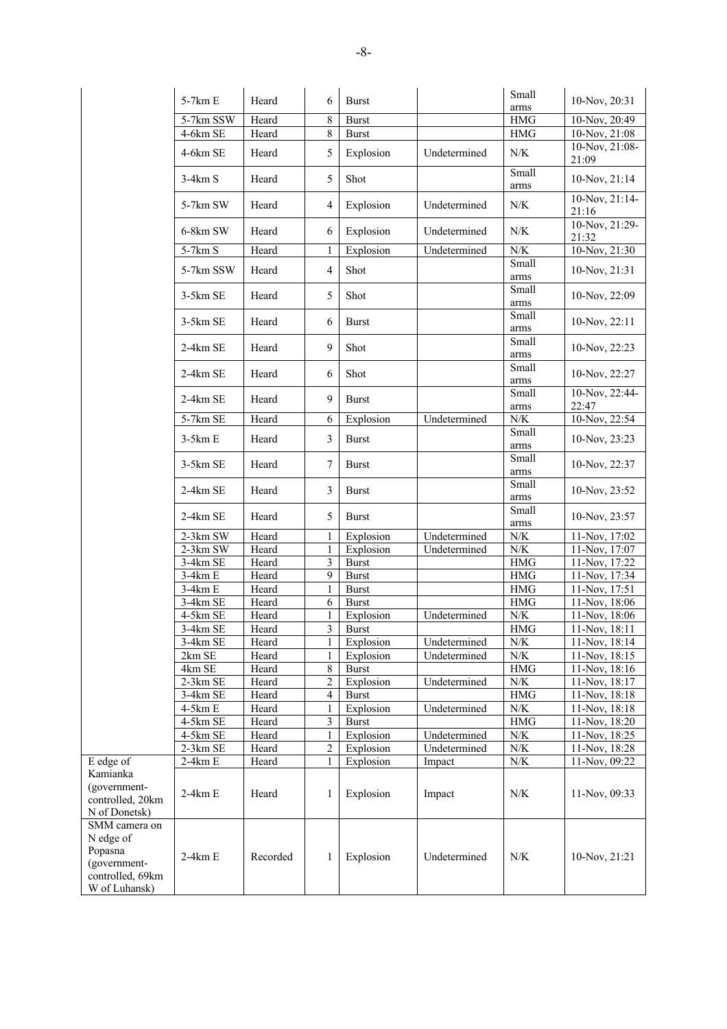|                                                                                            | 5-7km E   | Heard    | 6                        | <b>Burst</b> |              | Small                | 10-Nov, 20:31             |
|--------------------------------------------------------------------------------------------|-----------|----------|--------------------------|--------------|--------------|----------------------|---------------------------|
|                                                                                            |           |          |                          |              |              | arms                 |                           |
|                                                                                            | 5-7km SSW | Heard    | 8                        | <b>Burst</b> |              | <b>HMG</b>           | 10-Nov, 20:49             |
|                                                                                            | 4-6km SE  | Heard    | 8                        | <b>Burst</b> |              | $\rm HMG$            | 10-Nov, 21:08             |
|                                                                                            | 4-6km SE  | Heard    | 5                        | Explosion    | Undetermined | $N\!/\!K$            | 10-Nov, 21:08-<br>21:09   |
|                                                                                            | $3-4km S$ | Heard    | 5                        | Shot         |              | Small<br>arms        | 10-Nov, 21:14             |
|                                                                                            | 5-7km SW  | Heard    | $\overline{\mathcal{L}}$ | Explosion    | Undetermined | $N\!/\!K$            | 10-Nov, 21:14-<br>21:16   |
|                                                                                            | 6-8km SW  | Heard    | 6                        | Explosion    | Undetermined | $N\!/\!K$            | $10-Nov, 21:29-$<br>21:32 |
|                                                                                            | 5-7km S   | Heard    | $\mathbf{1}$             | Explosion    | Undetermined | ${\rm N/K}$          | 10-Nov, 21:30             |
|                                                                                            | 5-7km SSW | Heard    | 4                        | Shot         |              | Small<br>arms        | 10-Nov, 21:31             |
|                                                                                            | 3-5km SE  | Heard    | 5                        | Shot         |              | Small<br>arms        | 10-Nov, 22:09             |
|                                                                                            | 3-5km SE  | Heard    | 6                        | <b>Burst</b> |              | Small<br>arms        | 10-Nov, 22:11             |
|                                                                                            | 2-4km SE  | Heard    | 9                        | Shot         |              | Small<br>$\rm{arms}$ | 10-Nov, 22:23             |
|                                                                                            | 2-4km SE  | Heard    | 6                        | Shot         |              | Small<br>$\rm{arms}$ | 10-Nov, 22:27             |
|                                                                                            | 2-4km SE  | Heard    | 9                        | <b>Burst</b> |              | Small                | 10-Nov, 22:44-            |
|                                                                                            |           |          |                          |              |              | arms                 | 22:47                     |
|                                                                                            | 5-7km SE  | Heard    | 6                        | Explosion    | Undetermined | $N\!/\!K$<br>Small   | 10-Nov, 22:54             |
|                                                                                            | $3-5km E$ | Heard    | 3                        | <b>Burst</b> |              | $\rm{arms}$          | 10-Nov, 23:23             |
|                                                                                            | 3-5km SE  | Heard    | 7                        | <b>Burst</b> |              | Small<br>arms        | 10-Nov, 22:37             |
|                                                                                            | 2-4km SE  | Heard    | 3                        | <b>Burst</b> |              | Small<br>$\rm{arms}$ | 10-Nov, 23:52             |
|                                                                                            | 2-4km SE  | Heard    | 5                        | <b>Burst</b> |              | Small<br>arms        | 10-Nov, 23:57             |
|                                                                                            | 2-3km SW  | Heard    | 1                        | Explosion    | Undetermined | $N\!/\!K$            | 11-Nov, 17:02             |
|                                                                                            | 2-3km SW  | Heard    | $\mathbf{1}$             | Explosion    | Undetermined | ${\rm N/K}$          | 11-Nov, 17:07             |
|                                                                                            | 3-4km SE  | Heard    | 3                        | <b>Burst</b> |              | $\rm HMG$            | 11-Nov, 17:22             |
|                                                                                            | $3-4km E$ | Heard    | 9                        | <b>Burst</b> |              | HMG                  | 11-Nov, 17:34             |
|                                                                                            | $3-4km E$ | Heard    | $\,1$                    | <b>Burst</b> |              | $\rm HMG$            | 11-Nov, 17:51             |
|                                                                                            | 3-4km SE  | Heard    | 6                        | <b>Burst</b> |              | HMG                  | 11-Nov, 18:06             |
|                                                                                            | 4-5km SE  | Heard    | $\mathbf{1}$             | Explosion    | Undetermined | ${\rm N/K}$          | 11-Nov, 18:06             |
|                                                                                            | 3-4km SE  | Heard    | 3                        | <b>Burst</b> |              | HMG                  | 11-Nov, 18:11             |
|                                                                                            | 3-4km SE  | Heard    | 1                        | Explosion    | Undetermined | ${\rm N/K}$          | 11-Nov, 18:14             |
|                                                                                            | 2km SE    | Heard    | $\mathbf{1}$             | Explosion    | Undetermined | ${\rm N/K}$          | 11-Nov, 18:15             |
|                                                                                            | 4km SE    | Heard    | 8                        | <b>Burst</b> |              | <b>HMG</b>           | 11-Nov, 18:16             |
|                                                                                            | 2-3km SE  | Heard    | 2                        | Explosion    | Undetermined | ${\rm N/K}$          | 11-Nov, 18:17             |
|                                                                                            | 3-4km SE  | Heard    | 4                        | <b>Burst</b> |              | <b>HMG</b>           | 11-Nov, 18:18             |
|                                                                                            | 4-5km E   | Heard    | 1                        | Explosion    | Undetermined | ${\rm N/K}$          | 11-Nov, 18:18             |
|                                                                                            | 4-5km SE  | Heard    | 3                        | <b>Burst</b> |              | <b>HMG</b>           | 11-Nov, 18:20             |
|                                                                                            | 4-5km SE  | Heard    | 1                        | Explosion    | Undetermined | ${\rm N/K}$          | 11-Nov, 18:25             |
|                                                                                            | 2-3km SE  | Heard    | 2                        | Explosion    | Undetermined | ${\rm N/K}$          | 11-Nov, 18:28             |
| E edge of                                                                                  | $2-4km E$ | Heard    | 1                        | Explosion    | Impact       | ${\rm N/K}$          | 11-Nov, 09:22             |
| Kamianka<br>(government-<br>controlled, 20km<br>N of Donetsk)                              | $2-4km E$ | Heard    | 1                        | Explosion    | Impact       | N/K                  | 11-Nov, 09:33             |
| SMM camera on<br>N edge of<br>Popasna<br>(government-<br>controlled, 69km<br>W of Luhansk) | $2-4km E$ | Recorded | 1                        | Explosion    | Undetermined | N/K                  | 10-Nov, 21:21             |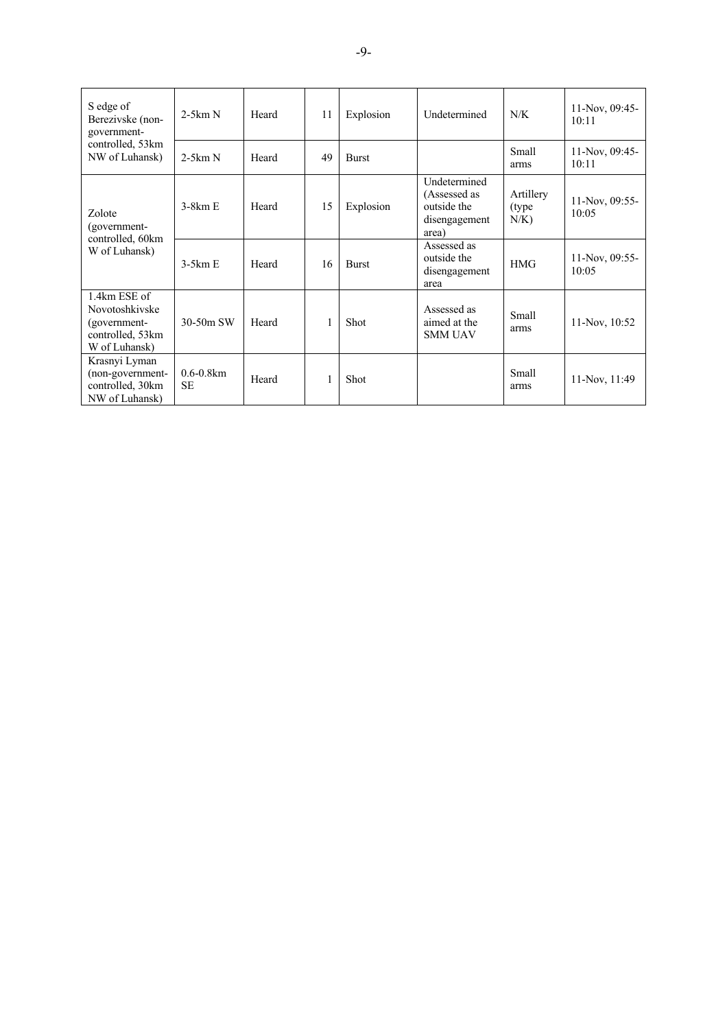| S edge of<br>Berezivske (non-<br>government-                                        | $2-5km N$                   | Heard | 11 | Explosion    | Undetermined                                                          | N/K                            | 11-Nov, 09:45-<br>10:11 |
|-------------------------------------------------------------------------------------|-----------------------------|-------|----|--------------|-----------------------------------------------------------------------|--------------------------------|-------------------------|
| controlled, 53km<br>NW of Luhansk)                                                  | $2-5km N$                   | Heard | 49 | <b>Burst</b> |                                                                       | Small<br>arms                  | 11-Nov, 09:45-<br>10:11 |
| Zolote<br>(government-                                                              | $3-8km E$                   | Heard | 15 | Explosion    | Undetermined<br>(Assessed as<br>outside the<br>disengagement<br>area) | Artillery<br>(type)<br>$N/K$ ) | 11-Nov, 09:55-<br>10:05 |
| controlled, 60km<br>W of Luhansk)                                                   | $3-5km E$                   | Heard | 16 | <b>Burst</b> | Assessed as<br>outside the<br><b>HMG</b><br>disengagement<br>area     | 11-Nov, 09:55-<br>10:05        |                         |
| 1.4km ESE of<br>Novotoshkivske<br>(government-<br>controlled, 53km<br>W of Luhansk) | $30-50m$ SW                 | Heard |    | Shot         | Assessed as<br>aimed at the<br><b>SMM UAV</b>                         | Small<br>arms                  | 11-Nov, 10:52           |
| Krasnyi Lyman<br>(non-government-<br>controlled, 30km<br>NW of Luhansk)             | $0.6 - 0.8$ km<br><b>SE</b> | Heard |    | Shot         |                                                                       | <b>Small</b><br>arms           | 11-Nov, 11:49           |